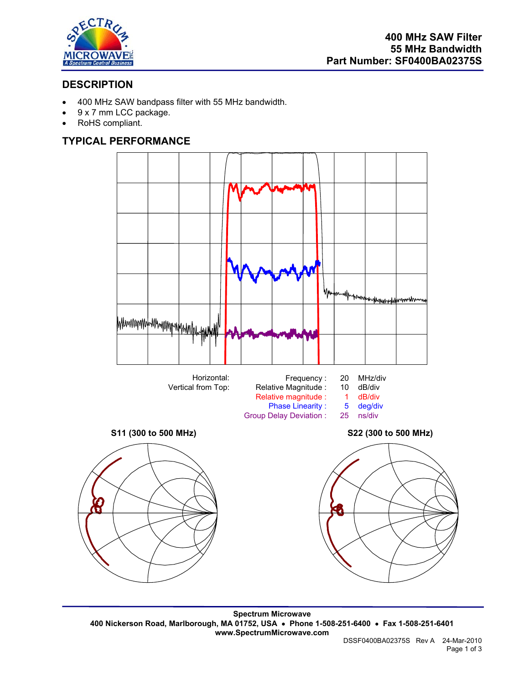

## **DESCRIPTION**

- 400 MHz SAW bandpass filter with 55 MHz bandwidth.
- 9 x 7 mm LCC package.
- RoHS compliant.

# **TYPICAL PERFORMANCE**



**Spectrum Microwave 400 Nickerson Road, Marlborough, MA 01752, USA** • **Phone 1-508-251-6400** • **Fax 1-508-251-6401 www.SpectrumMicrowave.com**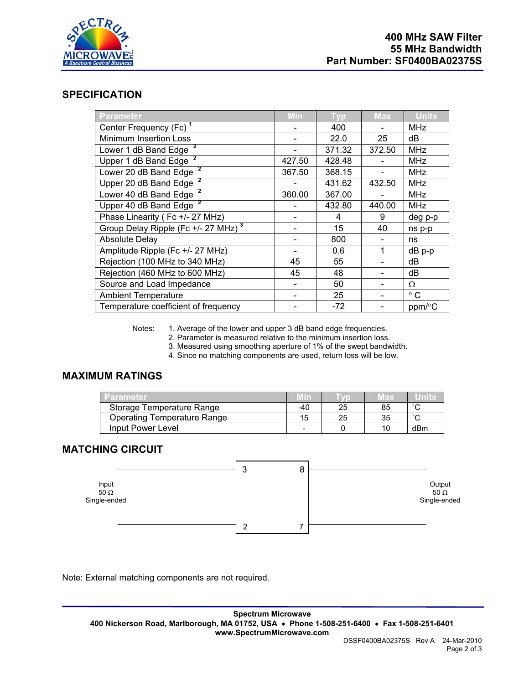

## **SPECIFICATION**

| <b>Parameter</b>                                | Min    | <b>Typ</b> | <b>Max</b> | <b>Units</b> |
|-------------------------------------------------|--------|------------|------------|--------------|
| Center Frequency (Fc) <sup>1</sup>              |        | 400        |            | <b>MHz</b>   |
| <b>Minimum Insertion Loss</b>                   |        | 22.0       | 25         | dB           |
| Lower 1 dB Band Edge                            |        | 371.32     | 372.50     | <b>MHz</b>   |
| Upper 1 dB Band Edge                            | 427.50 | 428.48     |            | <b>MHz</b>   |
| Lower 20 dB Band Edge                           | 367.50 | 368.15     |            | <b>MHz</b>   |
| Upper 20 dB Band Edge                           |        | 431.62     | 432.50     | <b>MHz</b>   |
| Lower 40 dB Band Edge                           | 360.00 | 367.00     |            | <b>MHz</b>   |
| Upper 40 dB Band Edge                           |        | 432.80     | 440.00     | <b>MHz</b>   |
| Phase Linearity (Fc +/- 27 MHz)                 |        | 4          | 9          | deg p-p      |
| Group Delay Ripple (Fc +/- 27 MHz) <sup>3</sup> |        | 15         | 40         | ns p-p       |
| <b>Absolute Delay</b>                           |        | 800        |            | ns           |
| Amplitude Ripple (Fc +/- 27 MHz)                |        | 0.6        |            | $dB$ p-p     |
| Rejection (100 MHz to 340 MHz)                  | 45     | 55         |            | dB           |
| Rejection (460 MHz to 600 MHz)                  | 45     | 48         |            | dB           |
| Source and Load Impedance                       |        | 50         |            | $\Omega$     |
| <b>Ambient Temperature</b>                      |        | 25         |            | $^{\circ}$ C |
| Temperature coefficient of frequency            |        | $-72$      |            | ppm/°C       |

Notes: 1. Average of the lower and upper 3 dB band edge frequencies.

2. Parameter is measured relative to the minimum insertion loss.

3. Measured using smoothing aperture of 1% of the swept bandwidth.

4. Since no matching components are used, return loss will be low.

## **MAXIMUM RATINGS**

| -arameter                          | Min |    | Max | unnis  |
|------------------------------------|-----|----|-----|--------|
| Storage Temperature Range          | -40 | 25 | 85  | $\sim$ |
| <b>Operating Temperature Range</b> | 15  | 25 | 35  | $\sim$ |
| Input Power Level                  | -   |    | 10  | dBm    |

### **MATCHING CIRCUIT**



Note: External matching components are not required.